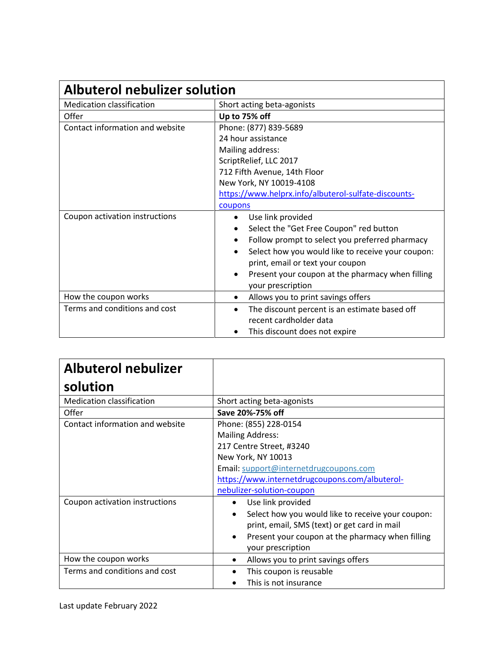| <b>Albuterol nebulizer solution</b> |                                                                |  |
|-------------------------------------|----------------------------------------------------------------|--|
| <b>Medication classification</b>    | Short acting beta-agonists                                     |  |
| Offer                               | Up to 75% off                                                  |  |
| Contact information and website     | Phone: (877) 839-5689                                          |  |
|                                     | 24 hour assistance                                             |  |
|                                     | Mailing address:                                               |  |
|                                     | ScriptRelief, LLC 2017                                         |  |
|                                     | 712 Fifth Avenue, 14th Floor                                   |  |
|                                     | New York, NY 10019-4108                                        |  |
|                                     | https://www.helprx.info/albuterol-sulfate-discounts-           |  |
|                                     | coupons                                                        |  |
| Coupon activation instructions      | Use link provided<br>$\bullet$                                 |  |
|                                     | Select the "Get Free Coupon" red button                        |  |
|                                     | Follow prompt to select you preferred pharmacy<br>٠            |  |
|                                     | Select how you would like to receive your coupon:<br>$\bullet$ |  |
|                                     | print, email or text your coupon                               |  |
|                                     | Present your coupon at the pharmacy when filling<br>٠          |  |
|                                     | your prescription                                              |  |
| How the coupon works                | Allows you to print savings offers<br>٠                        |  |
| Terms and conditions and cost       | The discount percent is an estimate based off<br>٠             |  |
|                                     | recent cardholder data                                         |  |
|                                     | This discount does not expire                                  |  |

| <b>Albuterol nebulizer</b>       |                                                   |
|----------------------------------|---------------------------------------------------|
| solution                         |                                                   |
| <b>Medication classification</b> | Short acting beta-agonists                        |
| Offer                            | Save 20%-75% off                                  |
| Contact information and website  | Phone: (855) 228-0154                             |
|                                  | <b>Mailing Address:</b>                           |
|                                  | 217 Centre Street, #3240                          |
|                                  | New York, NY 10013                                |
|                                  | Email: support@internetdrugcoupons.com            |
|                                  | https://www.internetdrugcoupons.com/albuterol-    |
|                                  | nebulizer-solution-coupon                         |
| Coupon activation instructions   | Use link provided                                 |
|                                  | Select how you would like to receive your coupon: |
|                                  | print, email, SMS (text) or get card in mail      |
|                                  | Present your coupon at the pharmacy when filling  |
|                                  | your prescription                                 |
| How the coupon works             | Allows you to print savings offers<br>٠           |
| Terms and conditions and cost    | This coupon is reusable                           |
|                                  | This is not insurance                             |